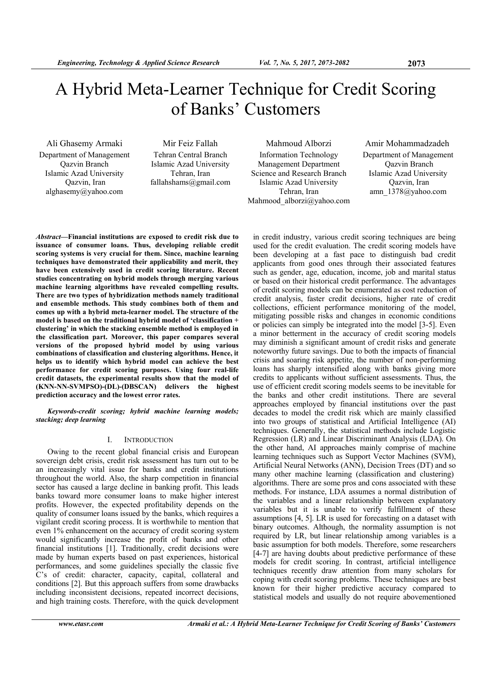# A Hybrid Meta-Learner Technique for Credit Scoring of Banks' Customers

Department of Management Qazvin Branch Islamic Azad University Qazvin, Iran alghasemy@yahoo.com

Tehran Central Branch Islamic Azad University Tehran, Iran fallahshams@gmail.com

Information Technology Management Department Science and Research Branch Islamic Azad University Tehran, Iran Mahmood\_alborzi@yahoo.com

Ali Ghasemy Armaki Mir Feiz Fallah Mahmoud Alborzi Amir Mohammadzadeh Department of Management Qazvin Branch Islamic Azad University Qazvin, Iran amn\_1378@yahoo.com

*Abstract***—Financial institutions are exposed to credit risk due to issuance of consumer loans. Thus, developing reliable credit scoring systems is very crucial for them. Since, machine learning techniques have demonstrated their applicability and merit, they have been extensively used in credit scoring literature. Recent studies concentrating on hybrid models through merging various machine learning algorithms have revealed compelling results. There are two types of hybridization methods namely traditional and ensemble methods. This study combines both of them and comes up with a hybrid meta-learner model. The structure of the model is based on the traditional hybrid model of 'classification + clustering' in which the stacking ensemble method is employed in the classification part. Moreover, this paper compares several versions of the proposed hybrid model by using various combinations of classification and clustering algorithms. Hence, it helps us to identify which hybrid model can achieve the best performance for credit scoring purposes. Using four real-life credit datasets, the experimental results show that the model of (KNN-NN-SVMPSO)-(DL)-(DBSCAN) delivers the highest prediction accuracy and the lowest error rates.** 

*Keywords-credit scoring; hybrid machine learning models; stacking; deep learning* 

## I. INTRODUCTION

Owing to the recent global financial crisis and European sovereign debt crisis, credit risk assessment has turn out to be an increasingly vital issue for banks and credit institutions throughout the world. Also, the sharp competition in financial sector has caused a large decline in banking profit. This leads banks toward more consumer loans to make higher interest profits. However, the expected profitability depends on the quality of consumer loans issued by the banks, which requires a vigilant credit scoring process. It is worthwhile to mention that even 1% enhancement on the accuracy of credit scoring system would significantly increase the profit of banks and other financial institutions [1]. Traditionally, credit decisions were made by human experts based on past experiences, historical performances, and some guidelines specially the classic five C's of credit: character, capacity, capital, collateral and conditions [2]. But this approach suffers from some drawbacks including inconsistent decisions, repeated incorrect decisions, and high training costs. Therefore, with the quick development

in credit industry, various credit scoring techniques are being used for the credit evaluation. The credit scoring models have been developing at a fast pace to distinguish bad credit applicants from good ones through their associated features such as gender, age, education, income, job and marital status or based on their historical credit performance. The advantages of credit scoring models can be enumerated as cost reduction of credit analysis, faster credit decisions, higher rate of credit collections, efficient performance monitoring of the model, mitigating possible risks and changes in economic conditions or policies can simply be integrated into the model [3-5]. Even a minor betterment in the accuracy of credit scoring models may diminish a significant amount of credit risks and generate noteworthy future savings. Due to both the impacts of financial crisis and soaring risk appetite, the number of non-performing loans has sharply intensified along with banks giving more credits to applicants without sufficient assessments. Thus, the use of efficient credit scoring models seems to be inevitable for the banks and other credit institutions. There are several approaches employed by financial institutions over the past decades to model the credit risk which are mainly classified into two groups of statistical and Artificial Intelligence (AI) techniques. Generally, the statistical methods include Logistic Regression (LR) and Linear Discriminant Analysis (LDA). On the other hand, AI approaches mainly comprise of machine learning techniques such as Support Vector Machines (SVM), Artificial Neural Networks (ANN), Decision Trees (DT) and so many other machine learning (classification and clustering) algorithms. There are some pros and cons associated with these methods. For instance, LDA assumes a normal distribution of the variables and a linear relationship between explanatory variables but it is unable to verify fulfillment of these assumptions [4, 5]. LR is used for forecasting on a dataset with binary outcomes. Although, the normality assumption is not required by LR, but linear relationship among variables is a basic assumption for both models. Therefore, some researchers [4-7] are having doubts about predictive performance of these models for credit scoring. In contrast, artificial intelligence techniques recently draw attention from many scholars for coping with credit scoring problems. These techniques are best known for their higher predictive accuracy compared to statistical models and usually do not require abovementioned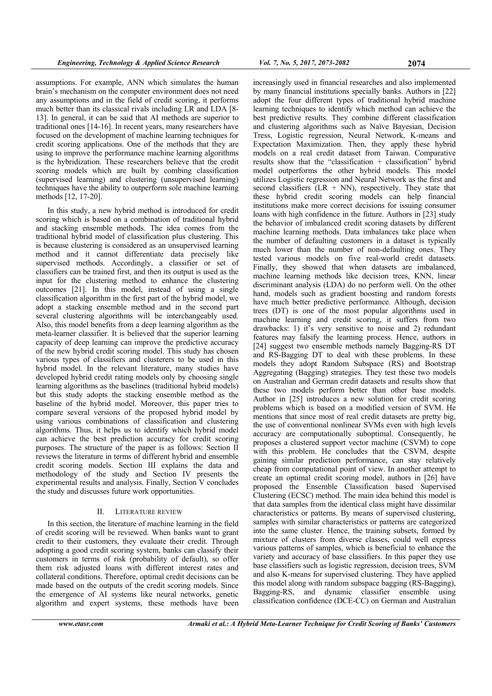assumptions. For example, ANN which simulates the human brain's mechanism on the computer environment does not need any assumptions and in the field of credit scoring, it performs much better than its classical rivals including LR and LDA [8- 13]. In general, it can be said that AI methods are superior to traditional ones [14-16]. In recent years, many researchers have focused on the development of machine learning techniques for credit scoring applications. One of the methods that they are using to improve the performance machine learning algorithms is the hybridization. These researchers believe that the credit scoring models which are built by combing classification (supervised learning) and clustering (unsupervised learning) techniques have the ability to outperform sole machine learning methods [12, 17-20].

In this study, a new hybrid method is introduced for credit scoring which is based on a combination of traditional hybrid and stacking ensemble methods. The idea comes from the traditional hybrid model of classification plus clustering. This is because clustering is considered as an unsupervised learning method and it cannot differentiate data precisely like supervised methods. Accordingly, a classifier or set of classifiers can be trained first, and then its output is used as the input for the clustering method to enhance the clustering outcomes [21]. In this model, instead of using a single classification algorithm in the first part of the hybrid model, we adopt a stacking ensemble method and in the second part several clustering algorithms will be interchangeably used. Also, this model benefits from a deep learning algorithm as the meta-learner classifier. It is believed that the superior learning capacity of deep learning can improve the predictive accuracy of the new hybrid credit scoring model. This study has chosen various types of classifiers and clusterers to be used in this hybrid model. In the relevant literature, many studies have developed hybrid credit rating models only by choosing single learning algorithms as the baselines (traditional hybrid models) but this study adopts the stacking ensemble method as the baseline of the hybrid model. Moreover, this paper tries to compare several versions of the proposed hybrid model by using various combinations of classification and clustering algorithms. Thus, it helps us to identify which hybrid model can achieve the best prediction accuracy for credit scoring purposes. The structure of the paper is as follows: Section II reviews the literature in terms of different hybrid and ensemble credit scoring models. Section III explains the data and methodology of the study and Section IV presents the experimental results and analysis. Finally, Section V concludes the study and discusses future work opportunities.

## II. LITERATURE REVIEW

In this section, the literature of machine learning in the field of credit scoring will be reviewed. When banks want to grant credit to their customers, they evaluate their credit. Through adopting a good credit scoring system, banks can classify their customers in terms of risk (probability of default), so offer them risk adjusted loans with different interest rates and collateral conditions. Therefore, optimal credit decisions can be made based on the outputs of the credit scoring models. Since the emergence of AI systems like neural networks, genetic algorithm and expert systems, these methods have been

increasingly used in financial researches and also implemented by many financial institutions specially banks. Authors in [22] adopt the four different types of traditional hybrid machine learning techniques to identify which method can achieve the best predictive results. They combine different classification and clustering algorithms such as Naïve Bayesian, Decision Tress, Logistic regression, Neural Network, K-means and Expectation Maximization. Then, they apply these hybrid models on a real credit dataset from Taiwan. Comparative results show that the "classification + classification" hybrid model outperforms the other hybrid models. This model utilizes Logistic regression and Neural Network as the first and second classifiers  $(LR + NN)$ , respectively. They state that these hybrid credit scoring models can help financial institutions make more correct decisions for issuing consumer loans with high confidence in the future. Authors in [23] study the behavior of imbalanced credit scoring datasets by different machine learning methods. Data imbalances take place when the number of defaulting customers in a dataset is typically much lower than the number of non-defaulting ones. They tested various models on five real-world credit datasets. Finally, they showed that when datasets are imbalanced, machine learning methods like decision trees, KNN, linear discriminant analysis (LDA) do no perform well. On the other hand, models such as gradient boosting and random forests have much better predictive performance. Although, decision trees (DT) is one of the most popular algorithms used in machine learning and credit scoring, it suffers from two drawbacks: 1) it's very sensitive to noise and 2) redundant features may falsify the learning process. Hence, authors in [24] suggest two ensemble methods namely Bagging-RS DT and RS-Bagging DT to deal with these problems. In these models they adopt Random Subspace (RS) and Bootstrap Aggregating (Bagging) strategies. They test these two models on Australian and German credit datasets and results show that these two models perform better than other base models. Author in [25] introduces a new solution for credit scoring problems which is based on a modified version of SVM. He mentions that since most of real credit datasets are pretty big, the use of conventional nonlinear SVMs even with high levels accuracy are computationally suboptimal. Consequently, he proposes a clustered support vector machine (CSVM) to cope with this problem. He concludes that the CSVM, despite gaining similar prediction performance, can stay relatively cheap from computational point of view. In another attempt to create an optimal credit scoring model, authors in [26] have proposed the Ensemble Classification based Supervised Clustering (ECSC) method. The main idea behind this model is that data samples from the identical class might have dissimilar characteristics or patterns. By means of supervised clustering, samples with similar characteristics or patterns are categorized into the same cluster. Hence, the training subsets, formed by mixture of clusters from diverse classes, could well express various patterns of samples, which is beneficial to enhance the variety and accuracy of base classifiers. In this paper they use base classifiers such as logistic regression, decision trees, SVM and also K-means for supervised clustering. They have applied this model along with random subspace bagging (RS-Bagging), Bagging-RS, and dynamic classifier ensemble using classification confidence (DCE-CC) on German and Australian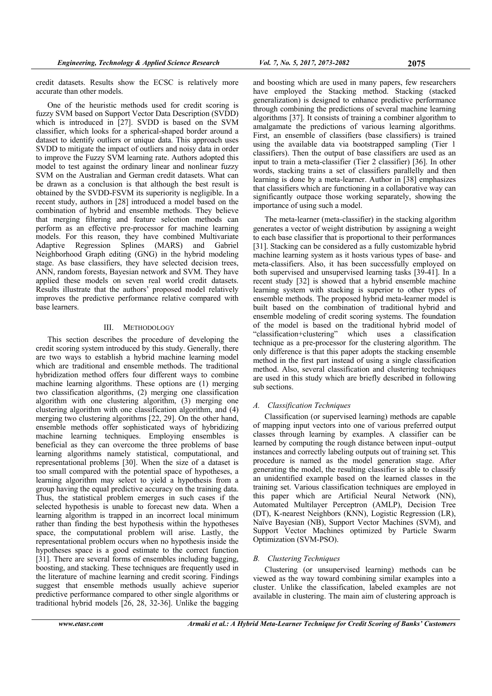credit datasets. Results show the ECSC is relatively more accurate than other models.

One of the heuristic methods used for credit scoring is fuzzy SVM based on Support Vector Data Description (SVDD) which is introduced in [27]. SVDD is based on the SVM classifier, which looks for a spherical-shaped border around a dataset to identify outliers or unique data. This approach uses SVDD to mitigate the impact of outliers and noisy data in order to improve the Fuzzy SVM learning rate. Authors adopted this model to test against the ordinary linear and nonlinear fuzzy SVM on the Australian and German credit datasets. What can be drawn as a conclusion is that although the best result is obtained by the SVDD-FSVM its superiority is negligible. In a recent study, authors in [28] introduced a model based on the combination of hybrid and ensemble methods. They believe that merging filtering and feature selection methods can perform as an effective pre-processor for machine learning models. For this reason, they have combined Multivariate Adaptive Regression Splines (MARS) and Gabriel Neighborhood Graph editing (GNG) in the hybrid modeling stage. As base classifiers, they have selected decision trees, ANN, random forests, Bayesian network and SVM. They have applied these models on seven real world credit datasets. Results illustrate that the authors' proposed model relatively improves the predictive performance relative compared with base learners.

## III. METHODOLOGY

This section describes the procedure of developing the credit scoring system introduced by this study. Generally, there are two ways to establish a hybrid machine learning model which are traditional and ensemble methods. The traditional hybridization method offers four different ways to combine machine learning algorithms. These options are (1) merging two classification algorithms, (2) merging one classification algorithm with one clustering algorithm, (3) merging one clustering algorithm with one classification algorithm, and (4) merging two clustering algorithms [22, 29]. On the other hand, ensemble methods offer sophisticated ways of hybridizing machine learning techniques. Employing ensembles is beneficial as they can overcome the three problems of base learning algorithms namely statistical, computational, and representational problems [30]. When the size of a dataset is too small compared with the potential space of hypotheses, a learning algorithm may select to yield a hypothesis from a group having the equal predictive accuracy on the training data. Thus, the statistical problem emerges in such cases if the selected hypothesis is unable to forecast new data. When a learning algorithm is trapped in an incorrect local minimum rather than finding the best hypothesis within the hypotheses space, the computational problem will arise. Lastly, the representational problem occurs when no hypothesis inside the hypotheses space is a good estimate to the correct function [31]. There are several forms of ensembles including bagging, boosting, and stacking. These techniques are frequently used in the literature of machine learning and credit scoring. Findings suggest that ensemble methods usually achieve superior predictive performance compared to other single algorithms or traditional hybrid models [26, 28, 32-36]. Unlike the bagging

and boosting which are used in many papers, few researchers have employed the Stacking method. Stacking (stacked generalization) is designed to enhance predictive performance through combining the predictions of several machine learning algorithms [37]. It consists of training a combiner algorithm to amalgamate the predictions of various learning algorithms. First, an ensemble of classifiers (base classifiers) is trained using the available data via bootstrapped sampling (Tier 1 classifiers). Then the output of base classifiers are used as an input to train a meta-classifier (Tier 2 classifier) [36]. In other words, stacking trains a set of classifiers parallelly and then learning is done by a meta-learner. Author in [38] emphasizes that classifiers which are functioning in a collaborative way can significantly outpace those working separately, showing the importance of using such a model.

The meta-learner (meta-classifier) in the stacking algorithm generates a vector of weight distribution by assigning a weight to each base classifier that is proportional to their performances [31]. Stacking can be considered as a fully customizable hybrid machine learning system as it hosts various types of base- and meta-classifiers. Also, it has been successfully employed on both supervised and unsupervised learning tasks [39-41]. In a recent study [32] is showed that a hybrid ensemble machine learning system with stacking is superior to other types of ensemble methods. The proposed hybrid meta-learner model is built based on the combination of traditional hybrid and ensemble modeling of credit scoring systems. The foundation of the model is based on the traditional hybrid model of "classification+clustering" which uses a classification technique as a pre-processor for the clustering algorithm. The only difference is that this paper adopts the stacking ensemble method in the first part instead of using a single classification method. Also, several classification and clustering techniques are used in this study which are briefly described in following sub sections.

# *A. Classification Techniques*

Classification (or supervised learning) methods are capable of mapping input vectors into one of various preferred output classes through learning by examples. A classifier can be learned by computing the rough distance between input–output instances and correctly labeling outputs out of training set. This procedure is named as the model generation stage. After generating the model, the resulting classifier is able to classify an unidentified example based on the learned classes in the training set. Various classification techniques are employed in this paper which are Artificial Neural Network (NN), Automated Multilayer Perceptron (AMLP), Decision Tree (DT), K-nearest Neighbors (KNN), Logistic Regression (LR), Naïve Bayesian (NB), Support Vector Machines (SVM), and Support Vector Machines optimized by Particle Swarm Optimization (SVM-PSO).

## *B. Clustering Techniques*

Clustering (or unsupervised learning) methods can be viewed as the way toward combining similar examples into a cluster. Unlike the classification, labeled examples are not available in clustering. The main aim of clustering approach is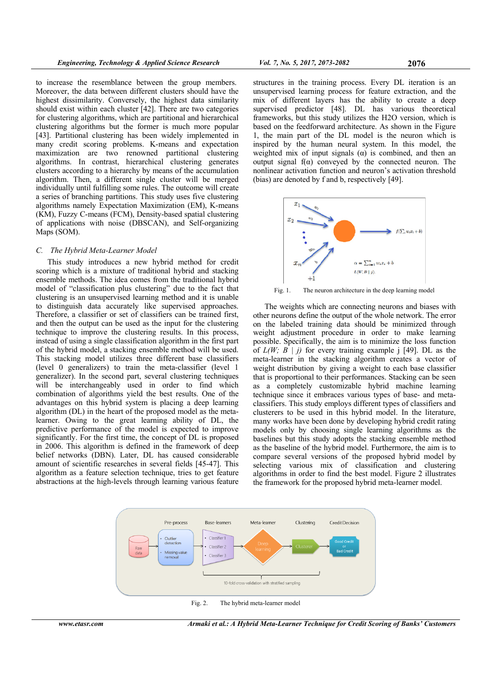to increase the resemblance between the group members. Moreover, the data between different clusters should have the highest dissimilarity. Conversely, the highest data similarity should exist within each cluster [42]. There are two categories for clustering algorithms, which are partitional and hierarchical clustering algorithms but the former is much more popular [43]. Partitional clustering has been widely implemented in many credit scoring problems. K-means and expectation maximization are two renowned partitional clustering algorithms. In contrast, hierarchical clustering generates clusters according to a hierarchy by means of the accumulation algorithm. Then, a different single cluster will be merged individually until fulfilling some rules. The outcome will create a series of branching partitions. This study uses five clustering algorithms namely Expectation Maximization (EM), K-means (KM), Fuzzy C-means (FCM), Density-based spatial clustering of applications with noise (DBSCAN), and Self-organizing Maps (SOM).

#### *C. The Hybrid Meta-Learner Model*

This study introduces a new hybrid method for credit scoring which is a mixture of traditional hybrid and stacking ensemble methods. The idea comes from the traditional hybrid model of "classification plus clustering" due to the fact that clustering is an unsupervised learning method and it is unable to distinguish data accurately like supervised approaches. Therefore, a classifier or set of classifiers can be trained first, and then the output can be used as the input for the clustering technique to improve the clustering results. In this process, instead of using a single classification algorithm in the first part of the hybrid model, a stacking ensemble method will be used. This stacking model utilizes three different base classifiers (level 0 generalizers) to train the meta-classifier (level 1 generalizer). In the second part, several clustering techniques will be interchangeably used in order to find which combination of algorithms yield the best results. One of the advantages on this hybrid system is placing a deep learning algorithm (DL) in the heart of the proposed model as the metalearner. Owing to the great learning ability of DL, the predictive performance of the model is expected to improve significantly. For the first time, the concept of DL is proposed in 2006. This algorithm is defined in the framework of deep belief networks (DBN). Later, DL has caused considerable amount of scientific researches in several fields [45-47]. This algorithm as a feature selection technique, tries to get feature abstractions at the high-levels through learning various feature

structures in the training process. Every DL iteration is an unsupervised learning process for feature extraction, and the mix of different layers has the ability to create a deep supervised predictor [48]. DL has various theoretical frameworks, but this study utilizes the H2O version, which is based on the feedforward architecture. As shown in the Figure 1, the main part of the DL model is the neuron which is inspired by the human neural system. In this model, the weighted mix of input signals  $\alpha$  is combined, and then an output signal  $f(\alpha)$  conveyed by the connected neuron. The nonlinear activation function and neuron's activation threshold (bias) are denoted by f and b, respectively [49].



Fig. 1. The neuron architecture in the deep learning model

The weights which are connecting neurons and biases with other neurons define the output of the whole network. The error on the labeled training data should be minimized through weight adjustment procedure in order to make learning possible. Specifically, the aim is to minimize the loss function of  $L(W; B \mid j)$  for every training example j [49]. DL as the meta-learner in the stacking algorithm creates a vector of weight distribution by giving a weight to each base classifier that is proportional to their performances. Stacking can be seen as a completely customizable hybrid machine learning technique since it embraces various types of base- and metaclassifiers. This study employs different types of classifiers and clusterers to be used in this hybrid model. In the literature, many works have been done by developing hybrid credit rating models only by choosing single learning algorithms as the baselines but this study adopts the stacking ensemble method as the baseline of the hybrid model. Furthermore, the aim is to compare several versions of the proposed hybrid model by selecting various mix of classification and clustering algorithms in order to find the best model. Figure 2 illustrates the framework for the proposed hybrid meta-learner model.



Fig. 2. The hybrid meta-learner model

*www.etasr.com Armaki et al.: A Hybrid Meta-Learner Technique for Credit Scoring of Banks' Customers*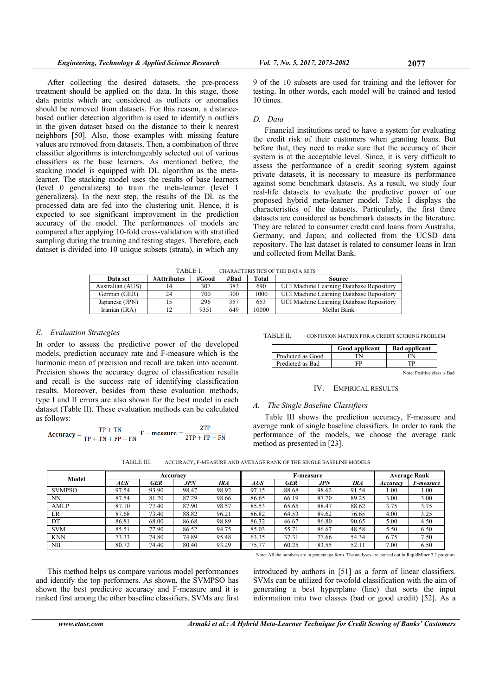After collecting the desired datasets, the pre-process treatment should be applied on the data. In this stage, those data points which are considered as outliers or anomalies should be removed from datasets. For this reason, a distancebased outlier detection algorithm is used to identify n outliers in the given dataset based on the distance to their k nearest neighbors [50]. Also, those examples with missing feature values are removed from datasets. Then, a combination of three classifier algorithms is interchangeably selected out of various classifiers as the base learners. As mentioned before, the stacking model is equipped with DL algorithm as the metalearner. The stacking model uses the results of base learners (level 0 generalizers) to train the meta-learner (level 1 generalizers). In the next step, the results of the DL as the processed data are fed into the clustering unit. Hence, it is expected to see significant improvement in the prediction accuracy of the model. The performances of models are compared after applying 10-fold cross-validation with stratified sampling during the training and testing stages. Therefore, each dataset is divided into 10 unique subsets (strata), in which any

9 of the 10 subsets are used for training and the leftover for testing. In other words, each model will be trained and tested 10 times.

### *D. Data*

Financial institutions need to have a system for evaluating the credit risk of their customers when granting loans. But before that, they need to make sure that the accuracy of their system is at the acceptable level. Since, it is very difficult to assess the performance of a credit scoring system against private datasets, it is necessary to measure its performance against some benchmark datasets. As a result, we study four real-life datasets to evaluate the predictive power of our proposed hybrid meta-learner model. Table I displays the characteristics of the datasets. Particularly, the first three datasets are considered as benchmark datasets in the literature. They are related to consumer credit card loans from Australia, Germany, and Japan; and collected from the UCSD data repository. The last dataset is related to consumer loans in Iran and collected from Mellat Bank.

| <b>TABLE I</b><br><b>CHARACTERISTICS OF THE DATA SETS</b> |             |       |      |       |                                          |  |  |  |  |  |
|-----------------------------------------------------------|-------------|-------|------|-------|------------------------------------------|--|--|--|--|--|
| Data set                                                  | #Attributes | #Good | #Bad | Total | Source                                   |  |  |  |  |  |
| Australian (AUS)                                          |             | 307   | 383  | 690   | UCI Machine Learning Database Repository |  |  |  |  |  |
| German (GER)                                              | 24          | 700   | 300  | 1000  | UCI Machine Learning Database Repository |  |  |  |  |  |
| Japanese (JPN)                                            |             | 296   | 357  | 653   | UCI Machine Learning Database Repository |  |  |  |  |  |
| Iranian (IRA)                                             |             | 9351  | 649  | 10000 | Mellat Bank                              |  |  |  |  |  |

## *E. Evaluation Strategies*

In order to assess the predictive power of the developed models, prediction accuracy rate and F-measure which is the harmonic mean of precision and recall are taken into account. Precision shows the accuracy degree of classification results and recall is the success rate of identifying classification results. Moreover, besides from these evaluation methods, type I and II errors are also shown for the best model in each dataset (Table II). These evaluation methods can be calculated as follows:

$$
Accuracy = \frac{TP + TN}{TP + TN + FP + FN} \ \mathbf{F} - \text{measure} = \frac{2TP}{2TP + FP + FN}
$$

TABLE II. CONFUSION MATRIX FOR A CREDIT SCORING PROBLEM

|                   | Good applicant | <b>Bad applicant</b>        |
|-------------------|----------------|-----------------------------|
| Predicted as Good | ΓN             | FN                          |
| Predicted as Bad  | FP             | гD                          |
|                   |                | Note: Positive class is Bad |

## IV. EMPIRICAL RESULTS

#### *A. The Single Baseline Classifiers*

Table III shows the prediction accuracy, F-measure and average rank of single baseline classifiers. In order to rank the performance of the models, we choose the average rank method as presented in [23].

TABLE III. ACCURACY, F-MEASURE AND AVERAGE RANK OF THE SINGLE BASELINE MODELS

| Model         |       |            | Accuracy |       |       | <b>F-measure</b> | <b>Average Rank</b> |       |          |           |
|---------------|-------|------------|----------|-------|-------|------------------|---------------------|-------|----------|-----------|
|               | AUS   | <b>GER</b> | JPN      | IRA   | AUS   | GER              | JPN                 | IRA   | Accuracy | F-measure |
| <b>SVMPSO</b> | 97.54 | 93.90      | 98.47    | 98.92 | 97.15 | 88.68            | 98.62               | 91.54 | 1.00     | 1.00      |
| <b>NN</b>     | 87.54 | 81.20      | 87.29    | 98.66 | 86.65 | 66.19            | 87.70               | 89.25 | 3.00     | 3.00      |
| AMLP          | 87.10 | 77.40      | 87.90    | 98.57 | 85.53 | 65.65            | 88.47               | 88.62 | 3.75     | 3.75      |
| LR.           | 87.68 | 73.40      | 88.82    | 96.21 | 86.82 | 64.53            | 89.62               | 76.65 | 4.00     | 3.25      |
| DT            | 86.81 | 68.00      | 86.68    | 98.89 | 86.32 | 46.67            | 86.80               | 90.65 | 5.00     | 4.50      |
| <b>SVM</b>    | 85.51 | 77.90      | 86.52    | 94.75 | 85.03 | 55.71            | 86.67               | 48.58 | 5.50     | 6.50      |
| <b>KNN</b>    | 73.33 | 74.80      | 74.89    | 95.48 | 63.35 | 37.31            | 77.66               | 54.34 | 6.75     | 7.50      |
| NB            | 80.72 | 74.40      | 80.40    | 93.29 | 75.77 | 60.25            | 83.55               | 52.11 | 7.00     | 6.50      |

Note: All the numbers are in percentage form. The analyses are carried out in RapidMiner 7.2 program.

This method helps us compare various model performances and identify the top performers. As shown, the SVMPSO has shown the best predictive accuracy and F-measure and it is ranked first among the other baseline classifiers. SVMs are first

introduced by authors in [51] as a form of linear classifiers. SVMs can be utilized for twofold classification with the aim of generating a best hyperplane (line) that sorts the input information into two classes (bad or good credit) [52]. As a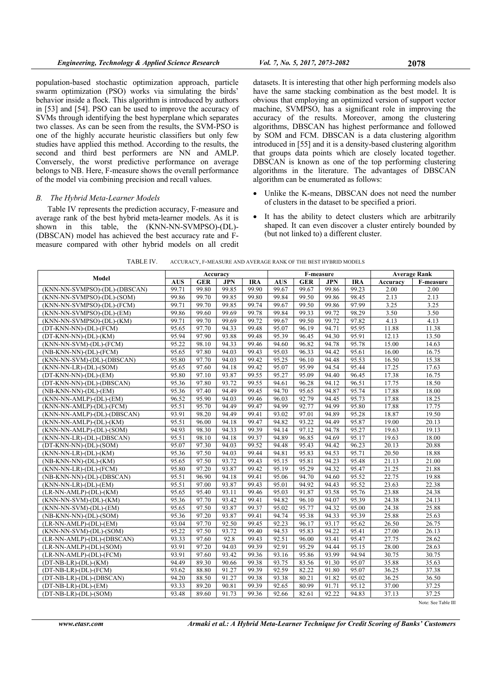population-based stochastic optimization approach, particle swarm optimization (PSO) works via simulating the birds' behavior inside a flock. This algorithm is introduced by authors in [53] and [54]. PSO can be used to improve the accuracy of SVMs through identifying the best hyperplane which separates two classes. As can be seen from the results, the SVM-PSO is one of the highly accurate heuristic classifiers but only few studies have applied this method. According to the results, the second and third best performers are NN and AMLP. Conversely, the worst predictive performance on average belongs to NB. Here, F-measure shows the overall performance of the model via combining precision and recall values.

### *B. The Hybrid Meta-Learner Models*

Table IV represents the prediction accuracy, F-measure and average rank of the best hybrid meta-learner models. As it is shown in this table, the (KNN-NN-SVMPSO)-(DL)- (DBSCAN) model has achieved the best accuracy rate and Fmeasure compared with other hybrid models on all credit

datasets. It is interesting that other high performing models also have the same stacking combination as the best model. It is obvious that employing an optimized version of support vector machine, SVMPSO, has a significant role in improving the accuracy of the results. Moreover, among the clustering algorithms, DBSCAN has highest performance and followed by SOM and FCM. DBSCAN is a data clustering algorithm introduced in [55] and it is a density-based clustering algorithm that groups data points which are closely located together. DBSCAN is known as one of the top performing clustering algorithms in the literature. The advantages of DBSCAN algorithm can be enumerated as follows:

- Unlike the K-means, DBSCAN does not need the number of clusters in the dataset to be specified a priori.
- It has the ability to detect clusters which are arbitrarily shaped. It can even discover a cluster entirely bounded by (but not linked to) a different cluster.

| TABLE IV. | ACCURACY. F-MEASURE AND AVERAGE RANK OF THE BEST HYBRID MODELS |
|-----------|----------------------------------------------------------------|
|-----------|----------------------------------------------------------------|

|                                  |            |            | Accuracy   |                    | F-measure  |            |            |            | <b>Average Rank</b> |           |
|----------------------------------|------------|------------|------------|--------------------|------------|------------|------------|------------|---------------------|-----------|
| Model                            | <b>AUS</b> | <b>GER</b> | <b>JPN</b> | <b>IRA</b>         | <b>AUS</b> | <b>GER</b> | <b>JPN</b> | <b>IRA</b> | Accuracy            | F-measure |
| (KNN-NN-SVMPSO)-(DL)-(DBSCAN)    | 99.71      | 99.80      | 99.85      | 99.90              | 99.67      | 99.67      | 99.86      | 99.23      | 2.00                | 2.00      |
| (KNN-NN-SVMPSO)-(DL)-(SOM)       | 99.86      | 99.70      | 99.85      | 99.80              | 99.84      | 99.50      | 99.86      | 98.45      | 2.13                | 2.13      |
| (KNN-NN-SVMPSO)-(DL)-(FCM)       | 99.71      | 99.70      | 99.85      | 99.74              | 99.67      | 99.50      | 99.86      | 97.99      | 3.25                | 3.25      |
| (KNN-NN-SVMPSO)-(DL)-(EM)        | 99.86      | 99.60      | 99.69      | 99.78              | 99.84      | 99.33      | 99.72      | 98.29      | 3.50                | 3.50      |
| (KNN-NN-SVMPSO)-(DL)-(KM)        | 99.71      | 99.70      | 99.69      | 99.72              | 99.67      | 99.50      | 99.72      | 97.82      | 4.13                | 4.13      |
| $(DT-KNN-NN)$ - $(DL)$ - $(FCM)$ | 95.65      | 97.70      | 94.33      | 99.48              | 95.07      | 96.19      | 94.71      | 95.95      | 11.88               | 11.38     |
| $(DT-KNN-NN)-(DL)-(KM)$          | 95.94      | 97.90      | 93.88      | 99.48              | 95.39      | 96.45      | 94.30      | 95.91      | 12.13               | 13.50     |
| (KNN-NN-SVM)-(DL)-(FCM)          | 95.22      | 98.10      | 94.33      | 99.46              | 94.60      | 96.82      | 94.78      | 95.78      | 15.00               | 14.63     |
| (NB-KNN-NN)-(DL)-(FCM)           | 95.65      | 97.80      | 94.03      | 99.43              | 95.03      | 96.33      | 94.42      | 95.61      | 16.00               | 16.75     |
| (KNN-NN-SVM)-(DL)-(DBSCAN)       | 95.80      | 97.70      | 94.03      | 99.42              | 95.25      | 96.10      | 94.48      | 95.53      | 16.50               | 15.38     |
| $(KNN-NN-LR)-(DL)-(SOM)$         | 95.65      | 97.60      | 94.18      | 99.42              | 95.07      | 95.99      | 94.54      | 95.44      | 17.25               | 17.63     |
| (DT-KNN-NN)-(DL)-(EM)            | 95.80      | 97.10      | 93.87      | 99.55              | 95.27      | 95.09      | 94.40      | 96.45      | 17.38               | 16.75     |
| (DT-KNN-NN)-(DL)-(DBSCAN)        | 95.36      | 97.80      | 93.72      | 99.55              | 94.61      | 96.28      | 94.12      | 96.51      | 17.75               | 18.50     |
| $(NB-KNN-NN)-(DL)-(EM)$          | 95.36      | 97.40      | 94.49      | 99.45              | 94.70      | 95.65      | 94.87      | 95.74      | 17.88               | 18.00     |
| (KNN-NN-AMLP)-(DL)-(EM)          | 96.52      | 95.90      | 94.03      | 99.46              | 96.03      | 92.79      | 94.45      | 95.73      | 17.88               | 18.25     |
| (KNN-NN-AMLP)-(DL)-(FCM)         | 95.51      | 95.70      | 94.49      | 99.47              | 94.99      | 92.77      | 94.99      | 95.80      | 17.88               | 17.75     |
| (KNN-NN-AMLP)-(DL)-(DBSCAN)      | 93.91      | 98.20      | 94.49      | 99.41              | 93.02      | 97.01      | 94.89      | 95.28      | 18.87               | 19.50     |
| (KNN-NN-AMLP)-(DL)-(KM)          | 95.51      | 96.00      | 94.18      | 99.47              | 94.82      | 93.22      | 94.49      | 95.87      | 19.00               | 20.13     |
| (KNN-NN-AMLP)-(DL)-(SOM)         | 94.93      | 98.30      | 94.33      | 99.39              | 94.14      | 97.12      | 94.78      | 95.27      | 19.63               | 19.13     |
| (KNN-NN-LR)-(DL)-(DBSCAN)        | 95.51      | 98.10      | 94.18      | 99.37              | 94.89      | 96.85      | 94.69      | 95.17      | 19.63               | 18.00     |
| $(DT-KNN-NN)-(DL)-(SOM)$         | 95.07      | 97.30      | 94.03      | 99.52              | 94.48      | 95.43      | 94.42      | 96.23      | 20.13               | 20.88     |
| $(KNN-NN-LR)-(DL)-(KM)$          | 95.36      | 97.50      | 94.03      | 99.44              | 94.81      | 95.83      | 94.53      | 95.71      | 20.50               | 18.88     |
| $(NB-KNN-NN)-(DL)-(KM)$          | 95.65      | 97.50      | 93.72      | $\overline{99.43}$ | 95.15      | 95.81      | 94.23      | 95.48      | 21.13               | 21.00     |
| (KNN-NN-LR)-(DL)-(FCM)           | 95.80      | 97.20      | 93.87      | 99.42              | 95.19      | 95.29      | 94.32      | 95.47      | 21.25               | 21.88     |
| (NB-KNN-NN)-(DL)-(DBSCAN)        | 95.51      | 96.90      | 94.18      | 99.41              | 95.06      | 94.70      | 94.60      | 95.52      | 22.75               | 19.88     |
| $(KNN-NN-LR)-(DL)-(EM)$          | 95.51      | 97.00      | 93.87      | 99.43              | 95.01      | 94.92      | 94.43      | 95.52      | 23.63               | 22.38     |
| $(LR-NN-AMLP)-(DL)-(KM)$         | 95.65      | 95.40      | 93.11      | 99.46              | 95.03      | 91.87      | 93.58      | 95.76      | 23.88               | 24.38     |
| $(KNN-NN-SVM)-(DL)-(KM)$         | 95.36      | 97.70      | 93.42      | 99.41              | 94.82      | 96.10      | 94.07      | 95.39      | 24.38               | 24.13     |
| $(KNN-NN-SVM)-(DL)-(EM)$         | 95.65      | 97.50      | 93.87      | 99.37              | 95.02      | 95.77      | 94.32      | 95.00      | 24.38               | 25.88     |
| (NB-KNN-NN)-(DL)-(SOM)           | 95.36      | 97.20      | 93.87      | 99.41              | 94.74      | 95.38      | 94.33      | 95.39      | 25.88               | 25.63     |
| $(LR-NN-AMLP)-(DL)-(EM)$         | 93.04      | 97.70      | 92.50      | 99.45              | 92.23      | 96.17      | 93.17      | 95.62      | 26.50               | 26.75     |
| (KNN-NN-SVM)-(DL)-(SOM)          | 95.22      | 97.50      | 93.72      | 99.40              | 94.53      | 95.83      | 94.22      | 95.41      | 27.00               | 26.13     |
| (LR-NN-AMLP)-(DL)-(DBSCAN)       | 93.33      | 97.60      | 92.8       | 99.43              | 92.51      | 96.00      | 93.41      | 95.47      | 27.75               | 28.62     |
| (LR-NN-AMLP)-(DL)-(SOM)          | 93.91      | 97.20      | 94.03      | 99.39              | 92.91      | 95.29      | 94.44      | 95.15      | 28.00               | 28.63     |
| (LR-NN-AMLP)-(DL)-(FCM)          | 93.91      | 97.60      | 93.42      | 99.36              | 93.16      | 95.86      | 93.99      | 94.94      | 30.75               | 30.75     |
| $(DT-NB-LR)-(DL)-(KM)$           | 94.49      | 89.30      | 90.66      | 99.38              | 93.75      | 83.56      | 91.30      | 95.07      | 35.88               | 35.63     |
| $(DT-NB-LR)-(DL)-(FCM)$          | 93.62      | 88.80      | 91.27      | 99.39              | 92.59      | 82.22      | 91.80      | 95.07      | 36.25               | 37.38     |
| (DT-NB-LR)-(DL)-(DBSCAN)         | 94.20      | 88.50      | 91.27      | 99.38              | 93.38      | 80.21      | 91.82      | 95.02      | 36.25               | 36.50     |
| $(DT-NB-LR)-(DL)-(EM)$           | 93.33      | 89.20      | 90.81      | 99.39              | 92.65      | 80.99      | 91.71      | 95.12      | 37.00               | 37.25     |
| $(DT-NB-LR)-(DL)-(SOM)$          | 93.48      | 89.60      | 91.73      | 99.36              | 92.66      | 82.61      | 92.22      | 94.83      | 37.13               | 37.25     |

Note: See Table III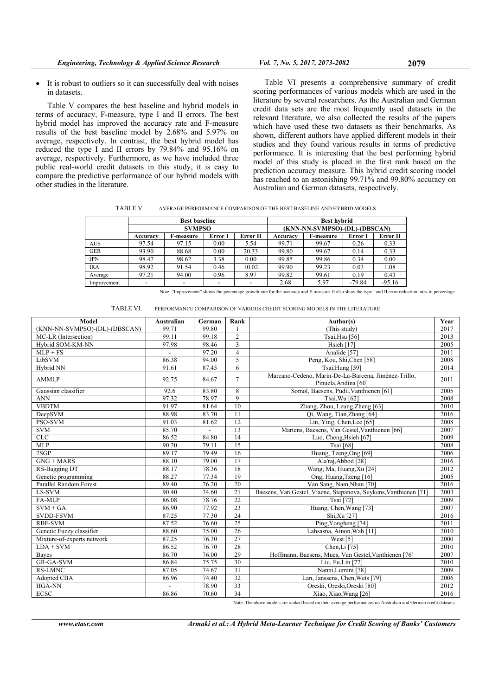Table V compares the best baseline and hybrid models in terms of accuracy, F-measure, type I and II errors. The best hybrid model has improved the accuracy rate and F-measure results of the best baseline model by 2.68% and 5.97% on average, respectively. In contrast, the best hybrid model has reduced the type I and II errors by 79.84% and 95.16% on average, respectively. Furthermore, as we have included three public real-world credit datasets in this study, it is easy to compare the predictive performance of our hybrid models with other studies in the literature.

Table VI presents a comprehensive summary of credit scoring performances of various models which are used in the literature by several researchers. As the Australian and German credit data sets are the most frequently used datasets in the relevant literature, we also collected the results of the papers which have used these two datasets as their benchmarks. As shown, different authors have applied different models in their studies and they found various results in terms of predictive performance. It is interesting that the best performing hybrid model of this study is placed in the first rank based on the prediction accuracy measure. This hybrid credit scoring model has reached to an astonishing 99.71% and 99.80% accuracy on Australian and German datasets, respectively.

TABLE V. AVERAGE PERFORMANCE COMPARISON OF THE BEST BASELINE AND HYBRID MODELS

|             |          | <b>Best baseline</b> |         |          | <b>Best hybrid</b>            |           |          |          |  |  |
|-------------|----------|----------------------|---------|----------|-------------------------------|-----------|----------|----------|--|--|
|             |          | <b>SVMPSO</b>        |         |          | (KNN-NN-SVMPSO)-(DL)-(DBSCAN) |           |          |          |  |  |
|             | Accuracv | F-measure            | Error I | Error II | Accuracv                      | F-measure | Error I  | Error II |  |  |
| <b>AUS</b>  | 97.54    | 97.15                | 0.00    | 5.54     | 99.71                         | 99.67     | 0.26     | 0.33     |  |  |
| <b>GER</b>  | 93.90    | 88.68                | 0.00    | 20.33    | 99.80                         | 99.67     | 0.14     | 0.33     |  |  |
| <b>JPN</b>  | 98.47    | 98.62                | 3.38    | 0.00     | 99.85                         | 99.86     | 0.34     | 0.00     |  |  |
| <b>IRA</b>  | 98.92    | 91.54                | 0.46    | 10.02    | 99.90                         | 99.23     | 0.03     | 1.08     |  |  |
| Average     | 97.21    | 94.00                | 0.96    | 8.97     | 99.82                         | 99.61     | 0.19     | 0.43     |  |  |
| Improvement |          |                      |         |          | 2.68                          | 5.97      | $-79.84$ | $-95.16$ |  |  |

Note: "Improvement" shows the percentage growth rate for the accuracy and F-measure. It also show the type I and II error reduction rates in percentage.

| TABLE VI.<br>PERFORMANCE COMPARISON OF VARIOUS CREDIT SCORING MODELS IN THE LITERATURE |
|----------------------------------------------------------------------------------------|
|----------------------------------------------------------------------------------------|

| Model                         | Australian     | German         | Rank            | Author(s)                                                                    | Year |
|-------------------------------|----------------|----------------|-----------------|------------------------------------------------------------------------------|------|
| (KNN-NN-SVMPSO)-(DL)-(DBSCAN) | 99.71          | 99.80          |                 | (This study)                                                                 | 2017 |
| MC-LR (Intersection)          | 99.11          | 99.18          | $\overline{2}$  | Tsai, Hsu [56]                                                               | 2013 |
| Hybrid SOM-KM-NN              | 97.98          | 98.46          | $\overline{3}$  | Hsieh [17]                                                                   | 2005 |
| $MLP + FS$                    |                | 97.20          | $\overline{4}$  | Analide <sup>[57]</sup>                                                      | 2011 |
| LibSVM                        | 86.38          | 94.00          | 5               | Peng, Kou, Shi, Chen [58]                                                    | 2008 |
| Hybrid NN                     | 91.61          | 87.45          | 6               | Tsai, Hung [59]                                                              | 2014 |
| <b>AMMLP</b>                  | 92.75          | 84.67          | $\tau$          | Marcano-Cedeno, Marin-De-La-Barcena, Jiménez-Trillo,<br>Pinuela, Andina [60] | 2011 |
| Gaussian classifier           | 92.6           | 83.80          | 8               | Somol, Baesens, Pudil, Vanthienen [61]                                       | 2005 |
| <b>ANN</b>                    | 97.32          | 78.97          | 9               | Tsai, Wu [62]                                                                | 2008 |
| <b>VBDTM</b>                  | 91.97          | 81.64          | 10              | Zhang, Zhou, Leung, Zheng [63]                                               | 2010 |
| DeepSVM                       | 88.98          | 83.70          | $\overline{11}$ | Qi, Wang, Tian, Zhang [64]                                                   | 2016 |
| <b>PSO-SVM</b>                | 91.03          | 81.62          | $\overline{12}$ | Lin, Ying, Chen, Lee [65]                                                    | 2008 |
| <b>SVM</b>                    | 85.70          | $\overline{a}$ | 13              | Martens, Baesens, Van Gestel, Vanthienen [66]                                | 2007 |
| <b>CLC</b>                    | 86.52          | 84.80          | 14              | Luo, Cheng, Hsieh [67]                                                       | 2009 |
| <b>MLP</b>                    | 90.20          | 79.11          | 15              | Tsai [68]                                                                    | 2008 |
| 2SGP                          | 89.17          | 79.49          | 16              | Huang, Tzeng, Ong [69]                                                       | 2006 |
| $GNG + MARS$                  | 88.10          | 79.00          | 17              | Ala'raj, Abbod [28]                                                          | 2016 |
| RS-Bagging DT                 | 88.17          | 78.36          | 18              | Wang, Ma, Huang, Xu [24]                                                     | 2012 |
| Genetic programming           | 88.27          | 77.34          | 19              | Ong, Huang, Tzeng [16]                                                       | 2005 |
| Parallel Random Forest        | 89.40          | 76.20          | $\overline{20}$ | Van Sang, Nam, Nhan [70]                                                     | 2016 |
| LS-SVM                        | 90.40          | 74.60          | 21              | Baesens, Van Gestel, Viaene, Stepanova, Suykens, Vanthienen [71]             | 2003 |
| FA-MLP                        | 86.08          | 78.76          | $\overline{22}$ | Tsai [72]                                                                    | 2009 |
| $SVM + GA$                    | 86.90          | 77.92          | 23              | Huang, Chen, Wang [73]                                                       | 2007 |
| <b>SVDD-FSVM</b>              | 87.25          | 77.30          | 24              | Shi, Xu [27]                                                                 | 2016 |
| <b>RBF-SVM</b>                | 87.52          | 76.60          | 25              | Ping, Yongheng [74]                                                          | 2011 |
| Genetic Fuzzy classifier      | 88.60          | 75.00          | 26              | Lahsasna, Ainon, Wah [11]                                                    | 2010 |
| Mixture-of-experts network    | 87.25          | 76.30          | 27              | West [5]                                                                     | 2000 |
| $LDA + SVM$                   | 86.52          | 76.70          | $28\,$          | Chen,Li <sup>[75]</sup>                                                      | 2010 |
| <b>Bayes</b>                  | 86.70          | 76.00          | 29              | Hoffmann, Baesens, Mues, Van Gestel, Vanthienen [76]                         | 2007 |
| GR-GA-SVM                     | 86.84          | 75.75          | 30              | Liu, Fu, Lin [77]                                                            | 2010 |
| <b>RS-LMNC</b>                | 87.05          | 74.67          | $\overline{31}$ | Nanni, Lumini [78]                                                           | 2009 |
| Adopted CBA                   | 86.96          | 74.40          | 32              | Lan, Janssens, Chen, Wets [79]                                               | 2006 |
| HGA-NN                        | $\blacksquare$ | 78.90          | $\overline{33}$ | Oreski, Oreski, Oreski [80]                                                  | 2012 |
| <b>ECSC</b>                   | 86.86          | 70.60          | 34              | Xiao, Xiao, Wang [26]                                                        | 2016 |

Note: The above models are ranked based on their average performances on Australian and German credit datasets.

*www.etasr.com Armaki et al.: A Hybrid Meta-Learner Technique for Credit Scoring of Banks' Customers*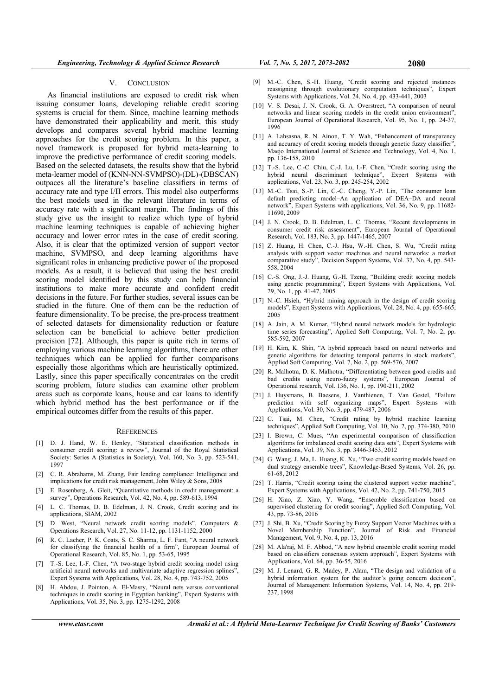#### V. CONCLUSION

As financial institutions are exposed to credit risk when issuing consumer loans, developing reliable credit scoring systems is crucial for them. Since, machine learning methods have demonstrated their applicability and merit, this study develops and compares several hybrid machine learning approaches for the credit scoring problem. In this paper, a novel framework is proposed for hybrid meta-learning to improve the predictive performance of credit scoring models. Based on the selected datasets, the results show that the hybrid meta-learner model of (KNN-NN-SVMPSO)-(DL)-(DBSCAN) outpaces all the literature's baseline classifiers in terms of accuracy rate and type I/II errors. This model also outperforms the best models used in the relevant literature in terms of accuracy rate with a significant margin. The findings of this study give us the insight to realize which type of hybrid machine learning techniques is capable of achieving higher accuracy and lower error rates in the case of credit scoring. Also, it is clear that the optimized version of support vector machine, SVMPSO, and deep learning algorithms have significant roles in enhancing predictive power of the proposed models. As a result, it is believed that using the best credit scoring model identified by this study can help financial institutions to make more accurate and confident credit decisions in the future. For further studies, several issues can be studied in the future. One of them can be the reduction of feature dimensionality. To be precise, the pre-process treatment of selected datasets for dimensionality reduction or feature selection can be beneficial to achieve better prediction precision [72]. Although, this paper is quite rich in terms of employing various machine learning algorithms, there are other techniques which can be applied for further comparisons especially those algorithms which are heuristically optimized. Lastly, since this paper specifically concentrates on the credit scoring problem, future studies can examine other problem areas such as corporate loans, house and car loans to identify which hybrid method has the best performance or if the empirical outcomes differ from the results of this paper.

#### **REFERENCES**

- [1] D. J. Hand, W. E. Henley, "Statistical classification methods in consumer credit scoring: a review", Journal of the Royal Statistical Society: Series A (Statistics in Society), Vol. 160, No. 3, pp. 523-541, 1997
- [2] C. R. Abrahams, M. Zhang, Fair lending compliance: Intelligence and implications for credit risk management, John Wiley & Sons, 2008
- [3] E. Rosenberg, A. Gleit, "Quantitative methods in credit management: a survey", Operations Research, Vol. 42, No. 4, pp. 589-613, 1994
- [4] L. C. Thomas, D. B. Edelman, J. N. Crook, Credit scoring and its applications, SIAM, 2002
- [5] D. West, "Neural network credit scoring models", Computers & Operations Research, Vol. 27, No. 11-12, pp. 1131-1152, 2000
- [6] R. C. Lacher, P. K. Coats, S. C. Sharma, L. F. Fant, "A neural network for classifying the financial health of a firm", European Journal of Operational Research, Vol. 85, No. 1, pp. 53-65, 1995
- [7] T.-S. Lee, I.-F. Chen, "A two-stage hybrid credit scoring model using artificial neural networks and multivariate adaptive regression splines", Expert Systems with Applications, Vol. 28, No. 4, pp. 743-752, 2005
- [8] H. Abdou, J. Pointon, A. El-Masry, "Neural nets versus conventional techniques in credit scoring in Egyptian banking", Expert Systems with Applications, Vol. 35, No. 3, pp. 1275-1292, 2008
- [9] M.-C. Chen, S.-H. Huang, "Credit scoring and rejected instances reassigning through evolutionary computation techniques", Expert Systems with Applications, Vol. 24, No. 4, pp. 433-441, 2003
- [10] V. S. Desai, J. N. Crook, G. A. Overstreet, "A comparison of neural networks and linear scoring models in the credit union environment", European Journal of Operational Research, Vol. 95, No. 1, pp. 24-37, 1996
- [11] A. Lahsasna, R. N. Ainon, T. Y. Wah, "Enhancement of transparency and accuracy of credit scoring models through genetic fuzzy classifier", Maejo International Journal of Science and Technology, Vol. 4, No. 1, pp. 136-158, 2010
- [12] T.-S. Lee, C.-C. Chiu, C.-J. Lu, I.-F. Chen, "Credit scoring using the hybrid neural discriminant technique", Expert Systems with applications, Vol. 23, No. 3, pp. 245-254, 2002
- [13] M.-C. Tsai, S.-P. Lin, C.-C. Cheng, Y.-P. Lin, "The consumer loan default predicting model–An application of DEA–DA and neural network", Expert Systems with applications, Vol. 36, No. 9, pp. 11682- 11690, 2009
- [14] J. N. Crook, D. B. Edelman, L. C. Thomas, "Recent developments in consumer credit risk assessment", European Journal of Operational Research, Vol. 183, No. 3, pp. 1447-1465, 2007
- [15] Z. Huang, H. Chen, C.-J. Hsu, W.-H. Chen, S. Wu, "Credit rating analysis with support vector machines and neural networks: a market comparative study", Decision Support Systems, Vol. 37, No. 4, pp. 543- 558, 2004
- [16] C.-S. Ong, J.-J. Huang, G.-H. Tzeng, "Building credit scoring models using genetic programming", Expert Systems with Applications, Vol. 29, No. 1, pp. 41-47, 2005
- [17] N.-C. Hsieh, "Hybrid mining approach in the design of credit scoring models", Expert Systems with Applications, Vol. 28, No. 4, pp. 655-665, 2005
- [18] A. Jain, A. M. Kumar, "Hybrid neural network models for hydrologic time series forecasting", Applied Soft Computing, Vol. 7, No. 2, pp. 585-592, 2007
- [19] H. Kim, K. Shin, "A hybrid approach based on neural networks and genetic algorithms for detecting temporal patterns in stock markets", Applied Soft Computing, Vol. 7, No. 2, pp. 569-576, 2007
- [20] R. Malhotra, D. K. Malhotra, "Differentiating between good credits and bad credits using neuro-fuzzy systems", European Journal of Operational research, Vol. 136, No. 1, pp. 190-211, 2002
- [21] J. Huysmans, B. Baesens, J. Vanthienen, T. Van Gestel, "Failure prediction with self organizing maps", Expert Systems with Applications, Vol. 30, No. 3, pp. 479-487, 2006
- [22] C. Tsai, M. Chen, "Credit rating by hybrid machine learning techniques", Applied Soft Computing, Vol. 10, No. 2, pp. 374-380, 2010
- [23] I. Brown, C. Mues, "An experimental comparison of classification algorithms for imbalanced credit scoring data sets", Expert Systems with Applications, Vol. 39, No. 3, pp. 3446-3453, 2012
- [24] G. Wang, J. Ma, L. Huang, K. Xu, "Two credit scoring models based on dual strategy ensemble trees", Knowledge-Based Systems, Vol. 26, pp. 61-68, 2012
- [25] T. Harris, "Credit scoring using the clustered support vector machine", Expert Systems with Applications, Vol. 42, No. 2, pp. 741-750, 2015
- [26] H. Xiao, Z. Xiao, Y. Wang, "Ensemble classification based on supervised clustering for credit scoring", Applied Soft Computing, Vol. 43, pp. 73-86, 2016
- [27] J. Shi, B. Xu, "Credit Scoring by Fuzzy Support Vector Machines with a Novel Membership Function", Journal of Risk and Financial Management, Vol. 9, No. 4, pp. 13, 2016
- [28] M. Ala'raj, M. F. Abbod, "A new hybrid ensemble credit scoring model based on classifiers consensus system approach", Expert Systems with Applications, Vol. 64, pp. 36-55, 2016
- [29] M. J. Lenard, G. R. Madey, P. Alam, "The design and validation of a hybrid information system for the auditor's going concern decision", Journal of Management Information Systems, Vol. 14, No. 4, pp. 219- 237, 1998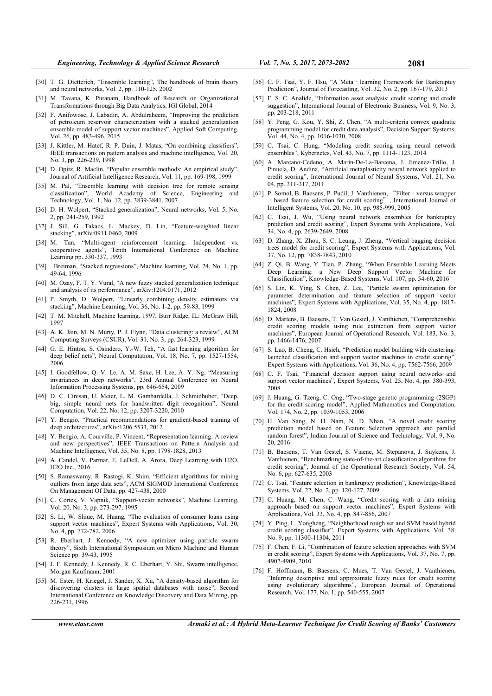- [30] T. G. Dietterich, "Ensemble learning", The handbook of brain theory and neural networks, Vol. 2, pp. 110-125, 2002
- [31] M. Tavana, K. Puranam, Handbook of Research on Organizational Transformations through Big Data Analytics, IGI Global, 2014
- [32] F. Anifowose, J. Labadin, A. Abdulraheem, "Improving the prediction of petroleum reservoir characterization with a stacked generalization ensemble model of support vector machines", Applied Soft Computing, Vol. 26, pp. 483-496, 2015
- [33] J. Kittler, M. Hatef, R. P. Duin, J. Matas, "On combining classifiers", IEEE transactions on pattern analysis and machine intelligence, Vol. 20, No. 3, pp. 226-239, 1998
- [34] D. Opitz, R. Maclin, "Popular ensemble methods: An empirical study", Journal of Artificial Intelligence Research, Vol. 11, pp. 169-198, 1999
- [35] M. Pal, "Ensemble learning with decision tree for remote sensing classification", World Academy of Science, Engineering and Technology, Vol. 1, No. 12, pp. 3839-3841, 2007
- [36] D. H. Wolpert, "Stacked generalization", Neural networks, Vol. 5, No. 2, pp. 241-259, 1992
- [37] J. Sill, G. Takacs, L. Mackey, D. Lin, "Feature-weighted linear stacking", arXiv:0911.0460, 2009
- [38] M. Tan, "Multi-agent reinforcement learning: Independent vs. cooperative agents", Tenth International Conference on Machine Learning pp. 330-337, 1993
- [39] . Breiman, "Stacked regressions", Machine learning, Vol. 24, No. 1, pp. 49-64, 1996
- [40] M. Ozay, F. T. Y. Vural, "A new fuzzy stacked generalization technique and analysis of its performance", arXiv:1204.0171, 2012
- [41] P. Smyth, D. Wolpert, "Linearly combining density estimators via stacking", Machine Learning, Vol. 36, No. 1-2, pp. 59-83, 1999
- [42] T. M. Mitchell, Machine learning. 1997, Burr Ridge, IL: McGraw Hill, 1997
- [43] A. K. Jain, M. N. Murty, P. J. Flynn, "Data clustering: a review", ACM Computing Surveys (CSUR), Vol. 31, No. 3, pp. 264-323, 1999
- [44] G. E. Hinton, S. Osindero, Y.-W. Teh, "A fast learning algorithm for deep belief nets", Neural Computation, Vol. 18, No. 7, pp. 1527-1554, 2006
- [45] I. Goodfellow, Q. V. Le, A. M. Saxe, H. Lee, A. Y. Ng, "Measuring invariances in deep networks", 23rd Annual Conference on Neural Information Processing Systems, pp. 646-654, 2009
- [46] D. C. Ciresan, U. Meier, L. M. Gambardella, J. Schmidhuber, "Deep, big, simple neural nets for handwritten digit recognition", Neural Computation, Vol. 22, No. 12, pp. 3207-3220, 2010
- [47] Y. Bengio, "Practical recommendations for gradient-based training of deep architectures", arXiv:1206.5533, 2012
- [48] Y. Bengio, A. Courville, P. Vincent, "Representation learning: A review and new perspectives", IEEE Transactions on Pattern Analysis and Machine Intelligence, Vol. 35, No. 8, pp. 1798-1828, 2013
- [49] A. Candel, V. Parmar, E. LeDell, A. Arora, Deep Learning with H2O, H2O Inc., 2016
- [50] S. Ramaswamy, R. Rastogi, K. Shim, "Efficient algorithms for mining outliers from large data sets", ACM SIGMOD International Conference On Management Of Data, pp. 427-438, 2000
- [51] C. Cortes, V. Vapnik, "Support-vector networks", Machine Learning, Vol. 20, No. 3, pp. 273-297, 1995
- [52] S. Li, W. Shiue, M. Huang, "The evaluation of consumer loans using support vector machines", Expert Systems with Applications, Vol. 30, No. 4, pp. 772-782, 2006
- [53] R. Eberhart, J. Kennedy, "A new optimizer using particle swarm theory", Sixth International Symposium on Micro Machine and Human Science pp. 39-43, 1995
- [54] J. F. Kennedy, J. Kennedy, R. C. Eberhart, Y. Shi, Swarm intelligence, Morgan Kaufmann, 2001
- [55] M. Ester, H. Kriegel, J. Sander, X. Xu, "A density-based algorithm for discovering clusters in large spatial databases with noise", Second International Conference on Knowledge Discovery and Data Mining, pp. 226-231, 1996
- [56] C. F. Tsai, Y. F. Hsu, "A Meta learning Framework for Bankruptcy Prediction", Journal of Forecasting, Vol. 32, No. 2, pp. 167-179, 2013
- [57] F. S. C. Analide, "Information asset analysis: credit scoring and credit suggestion", International Journal of Electronic Business, Vol. 9, No. 3, pp. 203-218, 2011
- [58] Y. Peng, G. Kou, Y. Shi, Z. Chen, "A multi-criteria convex quadratic programming model for credit data analysis", Decision Support Systems, Vol. 44, No. 4, pp. 1016-1030, 2008
- [59] C. Tsai, C. Hung, "Modeling credit scoring using neural network ensembles", Kybernetes, Vol. 43, No. 7, pp. 1114-1123, 2014
- [60] A. Marcano-Cedeno, A. Marin-De-La-Barcena, J. Jimenez-Trillo, J. Pinuela, D. Andina, "Artificial metaplasticity neural network applied to credit scoring", International Journal of Neural Systems, Vol. 21, No. 04, pp. 311-317, 2011
- [61] P. Somol, B. Baesens, P. Pudil, J. Vanthienen, "Filter versus wrapper ‐based feature selection for credit scoring", International Journal of Intelligent Systems, Vol. 20, No. 10, pp. 985-999, 2005
- [62] C. Tsai, J. Wu, "Using neural network ensembles for bankruptcy prediction and credit scoring", Expert Systems with Applications, Vol. 34, No. 4, pp. 2639-2649, 2008
- [63] D. Zhang, X. Zhou, S. C. Leung, J. Zheng, "Vertical bagging decision trees model for credit scoring", Expert Systems with Applications, Vol. 37, No. 12, pp. 7838-7843, 2010
- [64] Z. Qi, B. Wang, Y. Tian, P. Zhang, "When Ensemble Learning Meets Deep Learning: a New Deep Support Vector Machine for Classification", Knowledge-Based Systems, Vol. 107, pp. 54-60, 2016
- [65] S. Lin, K. Ying, S. Chen, Z. Lee, "Particle swarm optimization for parameter determination and feature selection of support vector machines", Expert Systems with Applications, Vol. 35, No. 4, pp. 1817- 1824, 2008
- [66] D. Martens, B. Baesens, T. Van Gestel, J. Vanthienen, "Comprehensible credit scoring models using rule extraction from support vector machines", European Journal of Operational Research, Vol. 183, No. 3, pp. 1466-1476, 2007
- [67] S. Luo, B. Cheng, C. Hsieh, "Prediction model building with clusteringlaunched classification and support vector machines in credit scoring", Expert Systems with Applications, Vol. 36, No. 4, pp. 7562-7566, 2009
- [68] C. F. Tsai, "Financial decision support using neural networks and support vector machines", Expert Systems, Vol. 25, No. 4, pp. 380-393, 2008
- [69] J. Huang, G. Tzeng, C. Ong, "Two-stage genetic programming (2SGP) for the credit scoring model", Applied Mathematics and Computation, Vol. 174, No. 2, pp. 1039-1053, 2006
- [70] H. Van Sang, N. H. Nam, N. D. Nhan, "A novel credit scoring prediction model based on Feature Selection approach and parallel random forest", Indian Journal of Science and Technology, Vol. 9, No. 20, 2016
- [71] B. Baesens, T. Van Gestel, S. Viaene, M. Stepanova, J. Suykens, J. Vanthienen, "Benchmarking state-of-the-art classification algorithms for credit scoring", Journal of the Operational Research Society, Vol. 54, No. 6, pp. 627-635, 2003
- [72] C. Tsai, "Feature selection in bankruptcy prediction", Knowledge-Based Systems, Vol. 22, No. 2, pp. 120-127, 2009
- [73] C. Huang, M. Chen, C. Wang, "Credit scoring with a data mining approach based on support vector machines", Expert Systems with Applications, Vol. 33, No. 4, pp. 847-856, 2007
- [74] Y. Ping, L. Yongheng, "Neighborhood rough set and SVM based hybrid credit scoring classifier", Expert Systems with Applications, Vol. 38, No. 9, pp. 11300-11304, 2011
- [75] F. Chen, F. Li, "Combination of feature selection approaches with SVM in credit scoring", Expert Systems with Applications, Vol. 37, No. 7, pp. 4902-4909, 2010
- [76] F. Hoffmann, B. Baesens, C. Mues, T. Van Gestel, J. Vanthienen, "Inferring descriptive and approximate fuzzy rules for credit scoring using evolutionary algorithms", European Journal of Operational Research, Vol. 177, No. 1, pp. 540-555, 2007